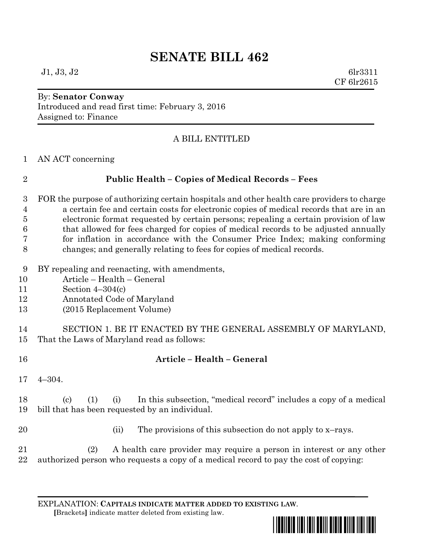# **SENATE BILL 462**

#### By: **Senator Conway** Introduced and read first time: February 3, 2016

Assigned to: Finance

### A BILL ENTITLED

AN ACT concerning

## **Public Health – Copies of Medical Records – Fees**

 FOR the purpose of authorizing certain hospitals and other health care providers to charge a certain fee and certain costs for electronic copies of medical records that are in an electronic format requested by certain persons; repealing a certain provision of law that allowed for fees charged for copies of medical records to be adjusted annually for inflation in accordance with the Consumer Price Index; making conforming changes; and generally relating to fees for copies of medical records.

- BY repealing and reenacting, with amendments,
- Article Health General
- Section 4–304(c)
- Annotated Code of Maryland
- (2015 Replacement Volume)

 SECTION 1. BE IT ENACTED BY THE GENERAL ASSEMBLY OF MARYLAND, That the Laws of Maryland read as follows:

- **Article – Health – General**
- 4–304.

 (c) (1) (i) In this subsection, "medical record" includes a copy of a medical bill that has been requested by an individual.

20 (ii) The provisions of this subsection do not apply to x-rays.

 (2) A health care provider may require a person in interest or any other authorized person who requests a copy of a medical record to pay the cost of copying:

EXPLANATION: **CAPITALS INDICATE MATTER ADDED TO EXISTING LAW**.

 **[**Brackets**]** indicate matter deleted from existing law.

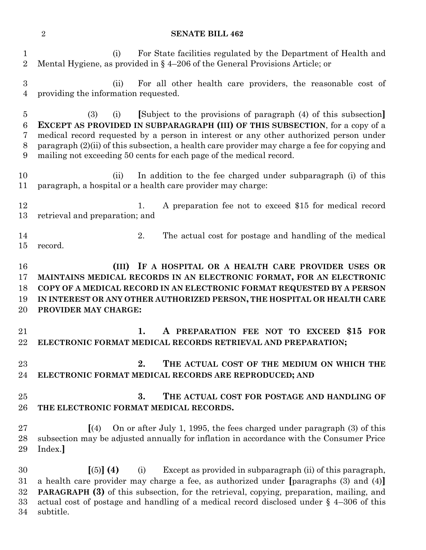**SENATE BILL 462**

 (i) For State facilities regulated by the Department of Health and Mental Hygiene, as provided in § 4–206 of the General Provisions Article; or (ii) For all other health care providers, the reasonable cost of providing the information requested. (3) (i) **[**Subject to the provisions of paragraph (4) of this subsection**] EXCEPT AS PROVIDED IN SUBPARAGRAPH (III) OF THIS SUBSECTION**, for a copy of a medical record requested by a person in interest or any other authorized person under paragraph (2)(ii) of this subsection, a health care provider may charge a fee for copying and mailing not exceeding 50 cents for each page of the medical record. (ii) In addition to the fee charged under subparagraph (i) of this paragraph, a hospital or a health care provider may charge: 12 1. A preparation fee not to exceed \$15 for medical record retrieval and preparation; and 2. The actual cost for postage and handling of the medical record. **(III) IF A HOSPITAL OR A HEALTH CARE PROVIDER USES OR MAINTAINS MEDICAL RECORDS IN AN ELECTRONIC FORMAT, FOR AN ELECTRONIC COPY OF A MEDICAL RECORD IN AN ELECTRONIC FORMAT REQUESTED BY A PERSON IN INTEREST OR ANY OTHER AUTHORIZED PERSON, THE HOSPITAL OR HEALTH CARE PROVIDER MAY CHARGE: 1. A PREPARATION FEE NOT TO EXCEED \$15 FOR ELECTRONIC FORMAT MEDICAL RECORDS RETRIEVAL AND PREPARATION; 2. THE ACTUAL COST OF THE MEDIUM ON WHICH THE ELECTRONIC FORMAT MEDICAL RECORDS ARE REPRODUCED; AND 3. THE ACTUAL COST FOR POSTAGE AND HANDLING OF THE ELECTRONIC FORMAT MEDICAL RECORDS. [**(4) On or after July 1, 1995, the fees charged under paragraph (3) of this subsection may be adjusted annually for inflation in accordance with the Consumer Price Index.**] [**(5)**] (4)** (i) Except as provided in subparagraph (ii) of this paragraph, a health care provider may charge a fee, as authorized under **[**paragraphs (3) and (4)**] PARAGRAPH (3)** of this subsection, for the retrieval, copying, preparation, mailing, and actual cost of postage and handling of a medical record disclosed under § 4–306 of this subtitle.